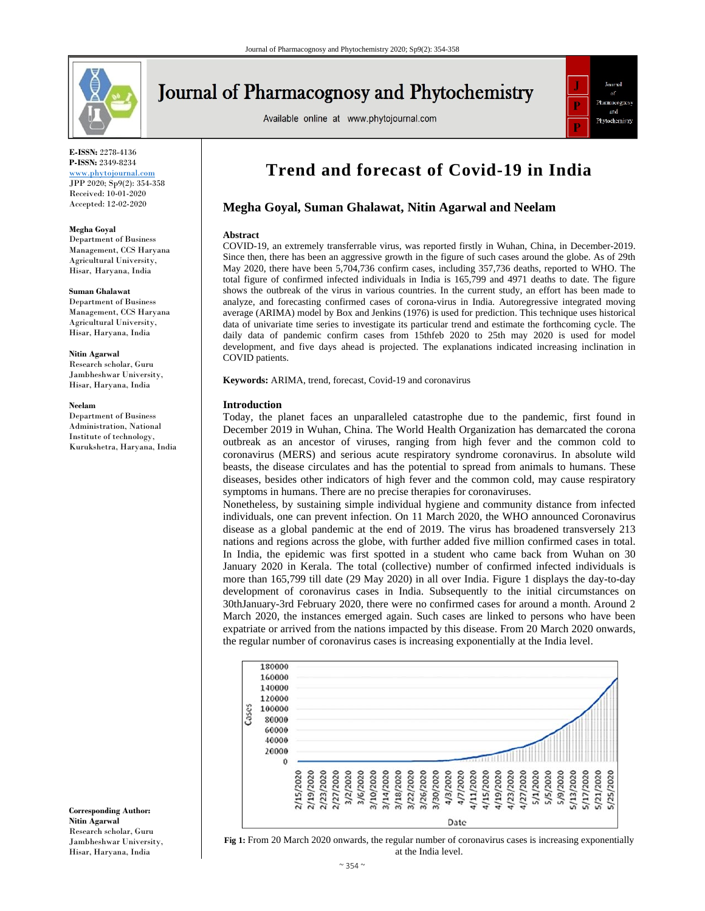

# Journal of Pharmacognosy and Phytochemistry

Available online at www.phytojournal.com



**E-ISSN:** 2278-4136 **P-ISSN:** 2349-8234 www.phytojournal.com JPP 2020; Sp9(2): 354-358 Received: 10-01-2020 Accepted: 12-02-2020

#### **Megha Goyal**

Department of Business Management, CCS Haryana Agricultural University, Hisar, Haryana, India

#### **Suman Ghalawat**

Department of Business Management, CCS Haryana Agricultural University, Hisar, Haryana, India

**Nitin Agarwal** 

Research scholar, Guru Jambheshwar University, Hisar, Haryana, India

#### **Neelam**

Department of Business Administration, National Institute of technology, Kurukshetra, Haryana, India

**Corresponding Author: Nitin Agarwal**  Research scholar, Guru Jambheshwar University, Hisar, Haryana, India

# **Trend and forecast of Covid-19 in India**

# **Megha Goyal, Suman Ghalawat, Nitin Agarwal and Neelam**

## **Abstract**

COVID-19, an extremely transferrable virus, was reported firstly in Wuhan, China, in December-2019. Since then, there has been an aggressive growth in the figure of such cases around the globe. As of 29th May 2020, there have been 5,704,736 confirm cases, including 357,736 deaths, reported to WHO. The total figure of confirmed infected individuals in India is 165,799 and 4971 deaths to date. The figure shows the outbreak of the virus in various countries. In the current study, an effort has been made to analyze, and forecasting confirmed cases of corona-virus in India. Autoregressive integrated moving average (ARIMA) model by Box and Jenkins (1976) is used for prediction. This technique uses historical data of univariate time series to investigate its particular trend and estimate the forthcoming cycle. The daily data of pandemic confirm cases from 15thfeb 2020 to 25th may 2020 is used for model development, and five days ahead is projected. The explanations indicated increasing inclination in COVID patients.

**Keywords:** ARIMA, trend, forecast, Covid-19 and coronavirus

# **Introduction**

Today, the planet faces an unparalleled catastrophe due to the pandemic, first found in December 2019 in Wuhan, China. The World Health Organization has demarcated the corona outbreak as an ancestor of viruses, ranging from high fever and the common cold to coronavirus (MERS) and serious acute respiratory syndrome coronavirus. In absolute wild beasts, the disease circulates and has the potential to spread from animals to humans. These diseases, besides other indicators of high fever and the common cold, may cause respiratory symptoms in humans. There are no precise therapies for coronaviruses.

Nonetheless, by sustaining simple individual hygiene and community distance from infected individuals, one can prevent infection. On 11 March 2020, the WHO announced Coronavirus disease as a global pandemic at the end of 2019. The virus has broadened transversely 213 nations and regions across the globe, with further added five million confirmed cases in total. In India, the epidemic was first spotted in a student who came back from Wuhan on 30 January 2020 in Kerala. The total (collective) number of confirmed infected individuals is more than 165,799 till date (29 May 2020) in all over India. Figure 1 displays the day-to-day development of coronavirus cases in India. Subsequently to the initial circumstances on 30thJanuary-3rd February 2020, there were no confirmed cases for around a month. Around 2 March 2020, the instances emerged again. Such cases are linked to persons who have been expatriate or arrived from the nations impacted by this disease. From 20 March 2020 onwards, the regular number of coronavirus cases is increasing exponentially at the India level.



**Fig 1:** From 20 March 2020 onwards, the regular number of coronavirus cases is increasing exponentially at the India level.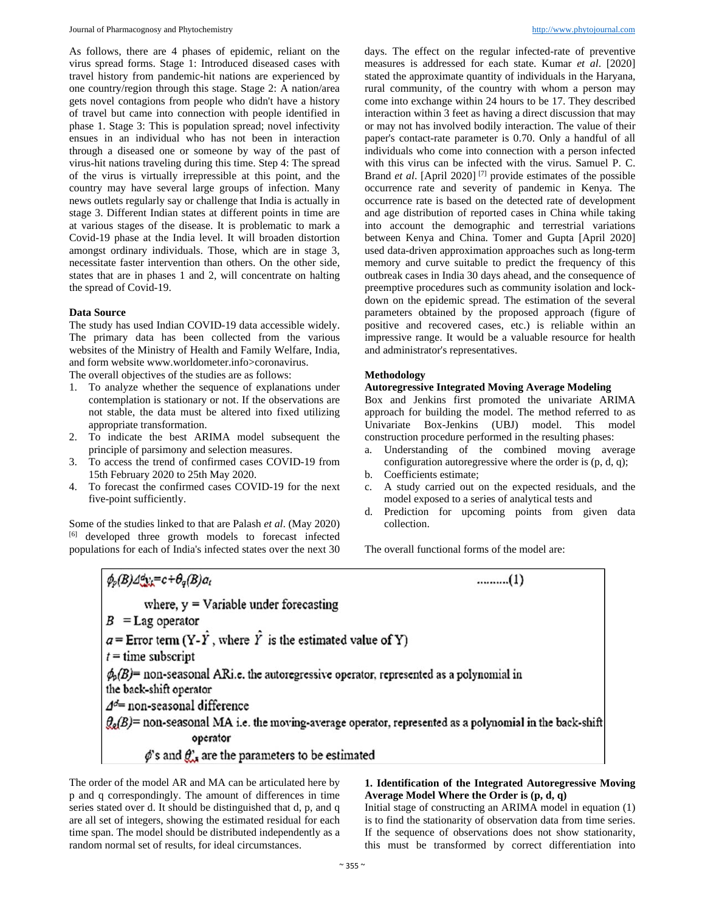As follows, there are 4 phases of epidemic, reliant on the virus spread forms. Stage 1: Introduced diseased cases with travel history from pandemic-hit nations are experienced by one country/region through this stage. Stage 2: A nation/area gets novel contagions from people who didn't have a history of travel but came into connection with people identified in phase 1. Stage 3: This is population spread; novel infectivity ensues in an individual who has not been in interaction through a diseased one or someone by way of the past of virus-hit nations traveling during this time. Step 4: The spread of the virus is virtually irrepressible at this point, and the country may have several large groups of infection. Many news outlets regularly say or challenge that India is actually in stage 3. Different Indian states at different points in time are at various stages of the disease. It is problematic to mark a Covid-19 phase at the India level. It will broaden distortion amongst ordinary individuals. Those, which are in stage 3, necessitate faster intervention than others. On the other side, states that are in phases 1 and 2, will concentrate on halting the spread of Covid-19.

#### **Data Source**

The study has used Indian COVID-19 data accessible widely. The primary data has been collected from the various websites of the Ministry of Health and Family Welfare, India, and form website www.worldometer.info>coronavirus.

The overall objectives of the studies are as follows:

- 1. To analyze whether the sequence of explanations under contemplation is stationary or not. If the observations are not stable, the data must be altered into fixed utilizing appropriate transformation.
- 2. To indicate the best ARIMA model subsequent the principle of parsimony and selection measures.
- 3. To access the trend of confirmed cases COVID-19 from 15th February 2020 to 25th May 2020.
- 4. To forecast the confirmed cases COVID-19 for the next five-point sufficiently.

Some of the studies linked to that are Palash *et al*. (May 2020) [6] developed three growth models to forecast infected populations for each of India's infected states over the next 30 days. The effect on the regular infected-rate of preventive measures is addressed for each state. Kumar *et al*. [2020] stated the approximate quantity of individuals in the Haryana, rural community, of the country with whom a person may come into exchange within 24 hours to be 17. They described interaction within 3 feet as having a direct discussion that may or may not has involved bodily interaction. The value of their paper's contact-rate parameter is 0.70. Only a handful of all individuals who come into connection with a person infected with this virus can be infected with the virus. Samuel P. C. Brand *et al*. [April 2020] [7] provide estimates of the possible occurrence rate and severity of pandemic in Kenya. The occurrence rate is based on the detected rate of development and age distribution of reported cases in China while taking into account the demographic and terrestrial variations between Kenya and China. Tomer and Gupta [April 2020] used data-driven approximation approaches such as long-term memory and curve suitable to predict the frequency of this outbreak cases in India 30 days ahead, and the consequence of preemptive procedures such as community isolation and lockdown on the epidemic spread. The estimation of the several parameters obtained by the proposed approach (figure of positive and recovered cases, etc.) is reliable within an impressive range. It would be a valuable resource for health and administrator's representatives.

#### **Methodology**

# **Autoregressive Integrated Moving Average Modeling**

Box and Jenkins first promoted the univariate ARIMA approach for building the model. The method referred to as Univariate Box-Jenkins (UBJ) model. This model construction procedure performed in the resulting phases:

- a. Understanding of the combined moving average configuration autoregressive where the order is (p, d, q);
- b. Coefficients estimate;
- c. A study carried out on the expected residuals, and the model exposed to a series of analytical tests and
- d. Prediction for upcoming points from given data collection.

The overall functional forms of the model are:

 $\phi_{p}(B) \Delta^{d} y_{i} = c + \theta_{q}(B) a_{i}$  $........(1)$ where,  $y =$  Variable under forecasting  $B =$ Lag operator  $a =$  Error term  $(Y - \hat{Y},$  where  $\hat{Y}$  is the estimated value of Y)  $t =$  time subscript  $\phi_0(B)$ = non-seasonal ARi.e. the autoregressive operator, represented as a polynomial in the back-shift operator  $\varDelta d=$  non-seasonal difference  $\mathcal{G}_{q}(B)$ = non-seasonal MA i.e. the moving-average operator, represented as a polynomial in the back-shift operator  $\phi$ 's and  $\theta$ ', are the parameters to be estimated

The order of the model AR and MA can be articulated here by p and q correspondingly. The amount of differences in time series stated over d. It should be distinguished that d, p, and q are all set of integers, showing the estimated residual for each time span. The model should be distributed independently as a random normal set of results, for ideal circumstances.

# **1. Identification of the Integrated Autoregressive Moving Average Model Where the Order is (p, d, q)**

Initial stage of constructing an ARIMA model in equation (1) is to find the stationarity of observation data from time series. If the sequence of observations does not show stationarity, this must be transformed by correct differentiation into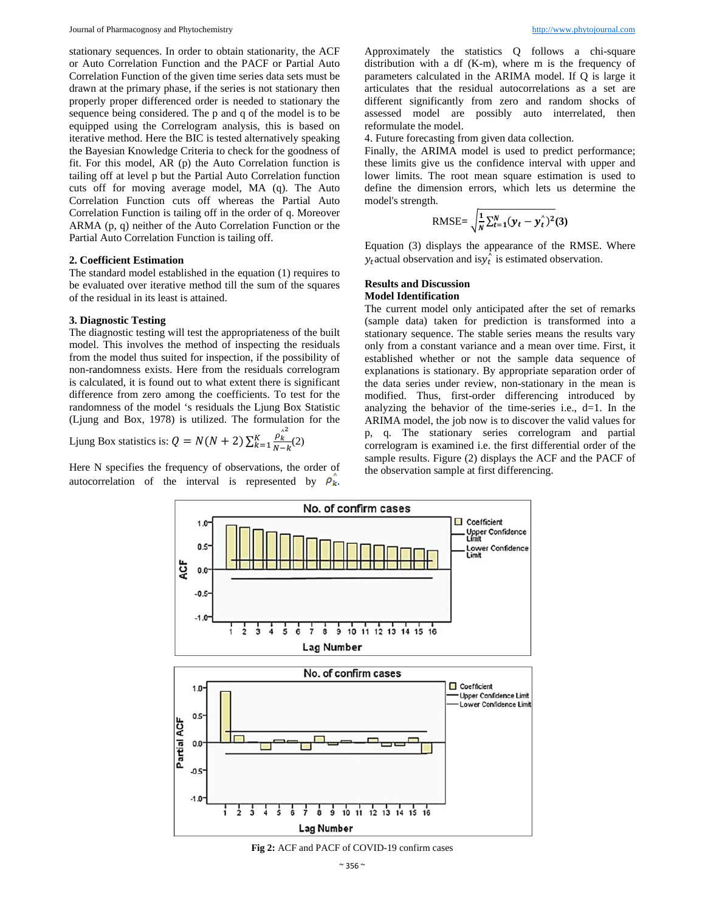stationary sequences. In order to obtain stationarity, the ACF or Auto Correlation Function and the PACF or Partial Auto Correlation Function of the given time series data sets must be drawn at the primary phase, if the series is not stationary then properly proper differenced order is needed to stationary the sequence being considered. The p and q of the model is to be equipped using the Correlogram analysis, this is based on iterative method. Here the BIC is tested alternatively speaking the Bayesian Knowledge Criteria to check for the goodness of fit. For this model, AR (p) the Auto Correlation function is tailing off at level p but the Partial Auto Correlation function cuts off for moving average model, MA (q). The Auto Correlation Function cuts off whereas the Partial Auto Correlation Function is tailing off in the order of q. Moreover ARMA (p, q) neither of the Auto Correlation Function or the Partial Auto Correlation Function is tailing off.

### **2. Coefficient Estimation**

The standard model established in the equation (1) requires to be evaluated over iterative method till the sum of the squares of the residual in its least is attained.

## **3. Diagnostic Testing**

The diagnostic testing will test the appropriateness of the built model. This involves the method of inspecting the residuals from the model thus suited for inspection, if the possibility of non-randomness exists. Here from the residuals correlogram is calculated, it is found out to what extent there is significant difference from zero among the coefficients. To test for the randomness of the model 's residuals the Ljung Box Statistic (Ljung and Box, 1978) is utilized. The formulation for the

Ljung Box statistics is: 
$$
Q = N(N + 2) \sum_{k=1}^{K} \frac{\rho_k^{\lambda^2}}{N - k} (2)
$$

Here N specifies the frequency of observations, the order of autocorrelation of the interval is represented by  $\rho_k$ .

Approximately the statistics Q follows a chi-square distribution with a df (K-m), where m is the frequency of parameters calculated in the ARIMA model. If Q is large it articulates that the residual autocorrelations as a set are different significantly from zero and random shocks of assessed model are possibly auto interrelated, then reformulate the model.

4. Future forecasting from given data collection.

Finally, the ARIMA model is used to predict performance; these limits give us the confidence interval with upper and lower limits. The root mean square estimation is used to define the dimension errors, which lets us determine the model's strength.

$$
\text{RMSE} = \sqrt{\frac{1}{N} \sum_{t=1}^{N} (y_t - y_t^{\hat{}})^2} (3)
$$

Equation (3) displays the appearance of the RMSE. Where  $y_t$  actual observation and is $y_t^{\hat{}}$  is estimated observation.

## **Results and Discussion Model Identification**

The current model only anticipated after the set of remarks (sample data) taken for prediction is transformed into a stationary sequence. The stable series means the results vary only from a constant variance and a mean over time. First, it established whether or not the sample data sequence of explanations is stationary. By appropriate separation order of the data series under review, non-stationary in the mean is modified. Thus, first-order differencing introduced by analyzing the behavior of the time-series i.e.,  $d=1$ . In the ARIMA model, the job now is to discover the valid values for p, q. The stationary series correlogram and partial correlogram is examined i.e. the first differential order of the sample results. Figure (2) displays the ACF and the PACF of the observation sample at first differencing.



**Fig 2:** ACF and PACF of COVID-19 confirm cases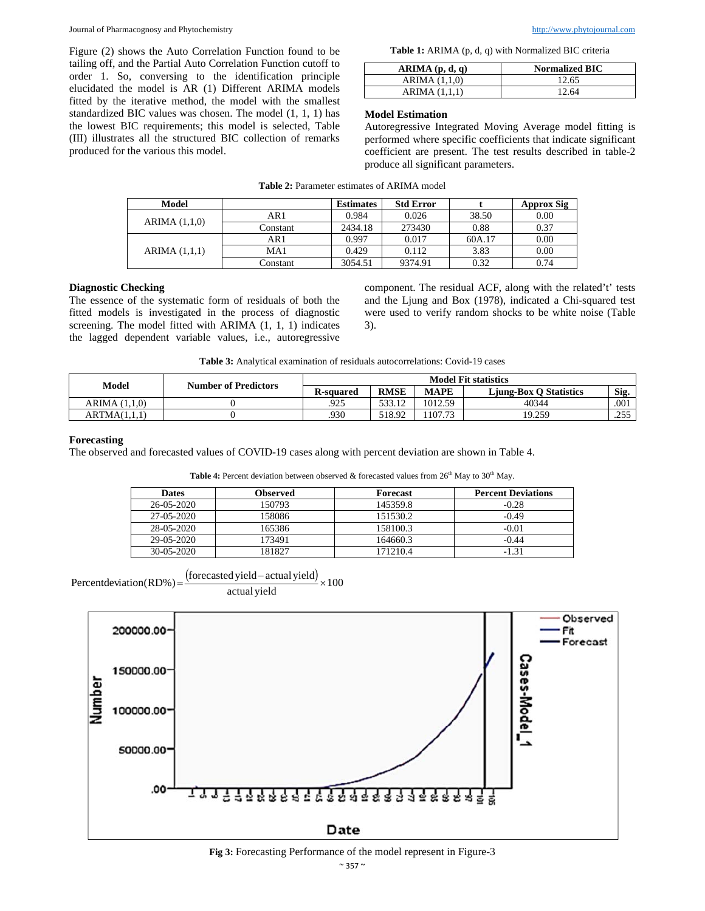Figure (2) shows the Auto Correlation Function found to be tailing off, and the Partial Auto Correlation Function cutoff to order 1. So, conversing to the identification principle elucidated the model is AR (1) Different ARIMA models fitted by the iterative method, the model with the smallest standardized BIC values was chosen. The model (1, 1, 1) has the lowest BIC requirements; this model is selected, Table (III) illustrates all the structured BIC collection of remarks produced for the various this model.

| <b>Table 1:</b> ARIMA (p, d, q) with Normalized BIC criteria |  |  |  |  |  |
|--------------------------------------------------------------|--|--|--|--|--|
|--------------------------------------------------------------|--|--|--|--|--|

| ARIMA(p, d, q)  | <b>Normalized BIC</b> |
|-----------------|-----------------------|
| ARIMA $(1.1.0)$ | 12.65                 |
| ARIMA (1,1,1)   | 12.64                 |

# **Model Estimation**

Autoregressive Integrated Moving Average model fitting is performed where specific coefficients that indicate significant coefficient are present. The test results described in table-2 produce all significant parameters.

| Model           |          | <b>Estimates</b> | <b>Std Error</b> |        | <b>Approx Sig</b> |
|-----------------|----------|------------------|------------------|--------|-------------------|
| ARIMA $(1,1,0)$ | AR 1     | 0.984            | 0.026            | 38.50  | 0.00              |
|                 | Constant | 2434.18          | 273430           | 0.88   | 0.37              |
| ARIMA (1,1,1)   | AR1      | 0.997            | 0.017            | 60A.17 | 0.00              |
|                 | MA1      | 0.429            | 0.112            | 3.83   | 0.00              |
|                 | Constant | 3054.51          | 9374.91          | 0.32   | 0.74              |

# **Diagnostic Checking**

The essence of the systematic form of residuals of both the fitted models is investigated in the process of diagnostic screening. The model fitted with ARIMA (1, 1, 1) indicates the lagged dependent variable values, i.e., autoregressive component. The residual ACF, along with the related't' tests and the Ljung and Box (1978), indicated a Chi-squared test were used to verify random shocks to be white noise (Table 3).

**Table 3:** Analytical examination of residuals autocorrelations: Covid-19 cases

| Model           | <b>Number of Predictors</b> | <b>Model Fit statistics</b> |             |             |                               |              |
|-----------------|-----------------------------|-----------------------------|-------------|-------------|-------------------------------|--------------|
|                 |                             | <b>R-squared</b>            | <b>RMSE</b> | <b>MAPE</b> | <b>Liung-Box O Statistics</b> | Sig.         |
| ARIMA $(1.1.0)$ |                             | .925                        | 533.12      | 1012.59     | 40344                         | .001         |
| ARTMA(1.1.1)    |                             | .930                        | 518.92      | 107.73      | 19.259                        | 755<br>ر رے۔ |

# **Forecasting**

The observed and forecasted values of COVID-19 cases along with percent deviation are shown in Table 4.

| Table 4: Percent deviation between observed & forecasted values from $26th$ May to $30th$ May. |  |  |  |
|------------------------------------------------------------------------------------------------|--|--|--|
|------------------------------------------------------------------------------------------------|--|--|--|

| <b>Dates</b>     | Observed | Forecast | <b>Percent Deviations</b> |
|------------------|----------|----------|---------------------------|
| 26-05-2020       | 150793   | 145359.8 | $-0.28$                   |
| 27-05-2020       | 158086   | 151530.2 | $-0.49$                   |
| 28-05-2020       | 165386   | 158100.3 | $-0.01$                   |
| 29-05-2020       | 173491   | 164660.3 | $-0.44$                   |
| $30 - 05 - 2020$ | 181827   | 171210.4 | $-1.31$                   |

$$
Percent deviation (RD\%) = \frac{\text{(forecasted yield - actual yield)}}{\text{actual yield}} \times 100
$$



**Fig 3:** Forecasting Performance of the model represent in Figure-3